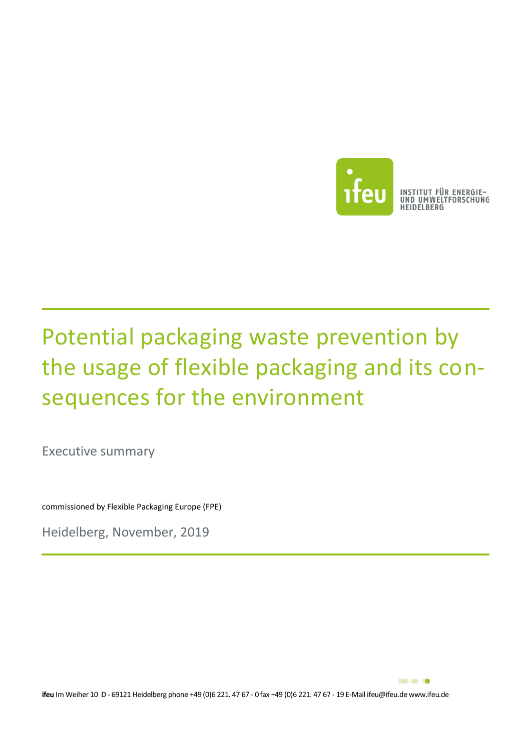

UND UMWELT

## Potential packaging waste prevention by the usage of flexible packaging and its consequences for the environment

Executive summary

commissioned by Flexible Packaging Europe (FPE)

Heidelberg, November, 2019

**OD OD OD** 

**ifeu** Im Weiher 10 D - 69121 Heidelberg phone +49 (0)6 221. 47 67 - 0 fax +49 (0)6 221. 47 67 - 19 E-Mail ifeu@ifeu.de www.ifeu.de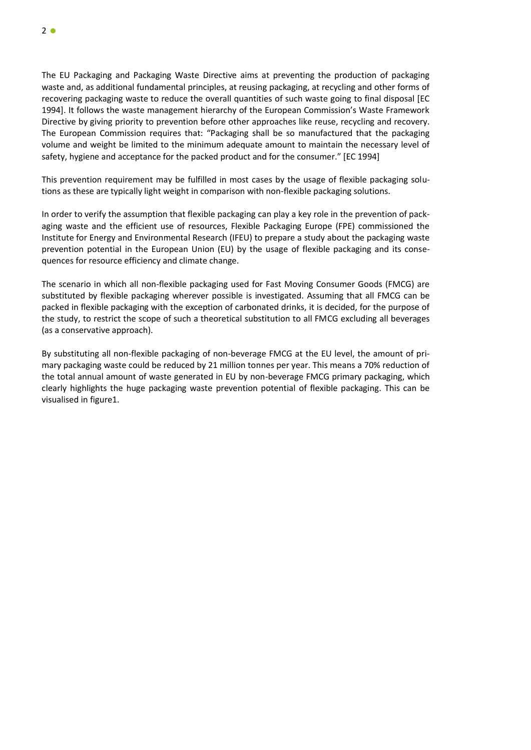The EU Packaging and Packaging Waste Directive aims at preventing the production of packaging waste and, as additional fundamental principles, at reusing packaging, at recycling and other forms of recovering packaging waste to reduce the overall quantities of such waste going to final disposal [EC 1994]. It follows the waste management hierarchy of the European Commission's Waste Framework Directive by giving priority to prevention before other approaches like reuse, recycling and recovery. The European Commission requires that: "Packaging shall be so manufactured that the packaging volume and weight be limited to the minimum adequate amount to maintain the necessary level of safety, hygiene and acceptance for the packed product and for the consumer." [EC 1994]

This prevention requirement may be fulfilled in most cases by the usage of flexible packaging solutions as these are typically light weight in comparison with non-flexible packaging solutions.

In order to verify the assumption that flexible packaging can play a key role in the prevention of packaging waste and the efficient use of resources, Flexible Packaging Europe (FPE) commissioned the Institute for Energy and Environmental Research (IFEU) to prepare a study about the packaging waste prevention potential in the European Union (EU) by the usage of flexible packaging and its consequences for resource efficiency and climate change.

The scenario in which all non-flexible packaging used for Fast Moving Consumer Goods (FMCG) are substituted by flexible packaging wherever possible is investigated. Assuming that all FMCG can be packed in flexible packaging with the exception of carbonated drinks, it is decided, for the purpose of the study, to restrict the scope of such a theoretical substitution to all FMCG excluding all beverages (as a conservative approach).

By substituting all non-flexible packaging of non-beverage FMCG at the EU level, the amount of primary packaging waste could be reduced by 21 million tonnes per year. This means a 70% reduction of the total annual amount of waste generated in EU by non-beverage FMCG primary packaging, which clearly highlights the huge packaging waste prevention potential of flexible packaging. This can be visualised in figure1.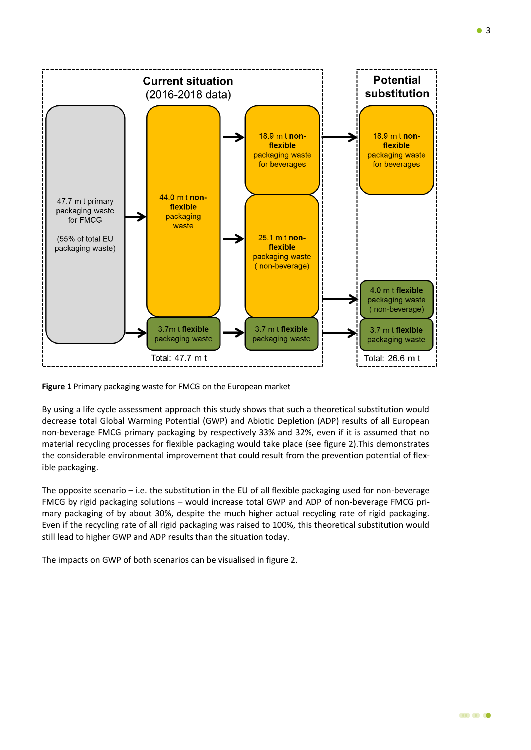

**Figure 1** Primary packaging waste for FMCG on the European market

By using a life cycle assessment approach this study shows that such a theoretical substitution would decrease total Global Warming Potential (GWP) and Abiotic Depletion (ADP) results of all European non-beverage FMCG primary packaging by respectively 33% and 32%, even if it is assumed that no material recycling processes for flexible packaging would take place (see figure 2).This demonstrates the considerable environmental improvement that could result from the prevention potential of flexible packaging.

The opposite scenario – i.e. the substitution in the EU of all flexible packaging used for non-beverage FMCG by rigid packaging solutions – would increase total GWP and ADP of non-beverage FMCG primary packaging of by about 30%, despite the much higher actual recycling rate of rigid packaging. Even if the recycling rate of all rigid packaging was raised to 100%, this theoretical substitution would still lead to higher GWP and ADP results than the situation today.

The impacts on GWP of both scenarios can be visualised in figure 2.